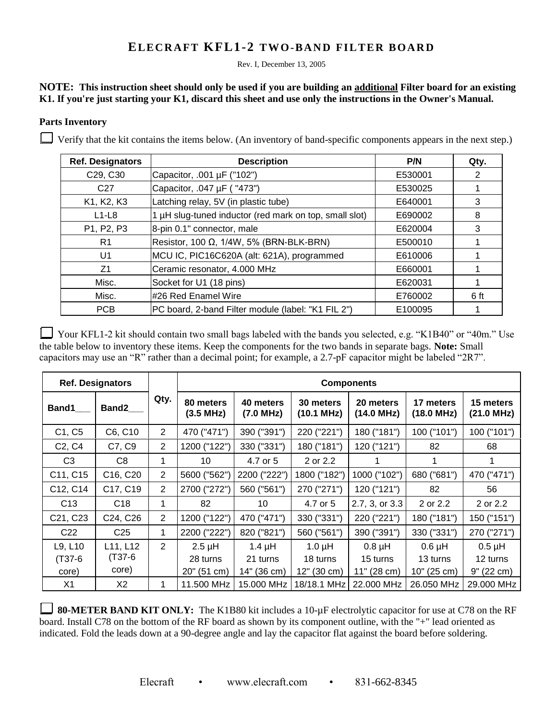## **ELECRAFT KFL1-2 TWO-BAND FILTER BOARD**

Rev. I, December 13, 2005

## **NOTE: This instruction sheet should only be used if you are building an additional Filter board for an existing K1. If you're just starting your K1, discard this sheet and use only the instructions in the Owner's Manual.**

## **Parts Inventory**

 $\Box$  Verify that the kit contains the items below. (An inventory of band-specific components appears in the next step.)

| <b>Ref. Designators</b> | <b>Description</b>                                     | P/N     | Qty. |
|-------------------------|--------------------------------------------------------|---------|------|
| C29, C30                | Capacitor, .001 µF ("102")                             | E530001 | 2    |
| C <sub>27</sub>         | Capacitor, .047 µF ("473")                             | E530025 |      |
| K1, K2, K3              | Latching relay, 5V (in plastic tube)                   | E640001 | 3    |
| $L1-L8$                 | 1 µH slug-tuned inductor (red mark on top, small slot) | E690002 | 8    |
| P1, P2, P3              | 8-pin 0.1" connector, male                             | E620004 | 3    |
| R1                      | Resistor, 100 $\Omega$ , 1/4W, 5% (BRN-BLK-BRN)        | E500010 |      |
| U <sub>1</sub>          | MCU IC, PIC16C620A (alt: 621A), programmed             | E610006 |      |
| Z <sub>1</sub>          | Ceramic resonator, 4.000 MHz                           | E660001 |      |
| Misc.                   | Socket for U1 (18 pins)                                | E620031 |      |
| Misc.                   | l#26 Red Enamel Wire                                   | E760002 | 6 ft |
| <b>PCB</b>              | PC board, 2-band Filter module (label: "K1 FIL 2")     | E100095 |      |

Your KFL1-2 kit should contain two small bags labeled with the bands you selected, e.g. "K1B40" or "40m." Use the table below to inventory these items. Keep the components for the two bands in separate bags. **Note:** Small capacitors may use an "R" rather than a decimal point; for example, a 2.7-pF capacitor might be labeled "2R7".

| <b>Ref. Designators</b>         |                                   |                | <b>Components</b>      |                        |                         |                         |                         |                         |
|---------------------------------|-----------------------------------|----------------|------------------------|------------------------|-------------------------|-------------------------|-------------------------|-------------------------|
| <b>Band1</b>                    | <b>Band2</b>                      | Qty.           | 80 meters<br>(3.5 MHz) | 40 meters<br>(7.0 MHz) | 30 meters<br>(10.1 MHz) | 20 meters<br>(14.0 MHz) | 17 meters<br>(18.0 MHz) | 15 meters<br>(21.0 MHz) |
| C1, C5                          | C6, C10                           | $\overline{2}$ | 470 ("471")            | 390 ("391")            | 220 ("221")             | 180 ("181")             | 100 ("101")             | 100 ("101")             |
| C <sub>2</sub> , C <sub>4</sub> | C7, C9                            | $\overline{2}$ | 1200 ("122")           | 330 ("331")            | 180 ("181")             | 120 ("121")             | 82                      | 68                      |
| C <sub>3</sub>                  | C8                                | 1              | 10                     | 4.7 or 5               | 2 or 2.2                |                         |                         | 1.                      |
| C11, C15                        | C <sub>16</sub> , C <sub>20</sub> | 2              | 5600 ("562")           | 2200 ("222")           | 1800 ("182")            | 1000 ("102")            | 680 ("681")             | 470 ("471")             |
| C12, C14                        | C17, C19                          | 2              | 2700 ("272")           | 560 ("561")            | 270 ("271")             | 120 ("121")             | 82                      | 56                      |
| C <sub>13</sub>                 | C <sub>18</sub>                   | 1              | 82                     | 10                     | 4.7 or 5                | 2.7, 3, or 3.3          | 2 or 2.2                | 2 or 2.2                |
| C21, C23                        | C <sub>24</sub> , C <sub>26</sub> | 2              | 1200 ("122")           | 470 ("471")            | 330 ("331")             | 220 ("221")             | 180 ("181")             | 150 ("151")             |
| C <sub>22</sub>                 | C <sub>25</sub>                   | 1              | 2200 ("222")           | 820 ("821")            | 560 ("561")             | 390 ("391")             | 330 ("331")             | 270 ("271")             |
| L9, L10                         | L11, L12                          | $\overline{2}$ | $2.5$ µH               | $1.4 \mu H$            | $1.0 \mu H$             | $0.8$ µH                | $0.6$ $\mu$ H           | $0.5 \mu H$             |
| $(T37-6)$                       | $(T37-6)$                         |                | 28 turns               | 21 turns               | 18 turns                | 15 turns                | 13 turns                | 12 turns                |
| core)                           | core)                             |                | 20" (51 cm)            | 14" (36 cm)            | 12" (30 cm)             | 11" (28 cm)             | 10" (25 cm)             | 9" (22 cm)              |
| X <sub>1</sub>                  | X2                                | 1              | 11.500 MHz             | 15.000 MHz             | 18/18.1 MHz l           | 22.000 MHz              | 26.050 MHz              | 29,000 MHz              |

**80-METER BAND KIT ONLY:** The K1B80 kit includes a 10-µF electrolytic capacitor for use at C78 on the RF board. Install C78 on the bottom of the RF board as shown by its component outline, with the "+" lead oriented as indicated. Fold the leads down at a 90-degree angle and lay the capacitor flat against the board before soldering.